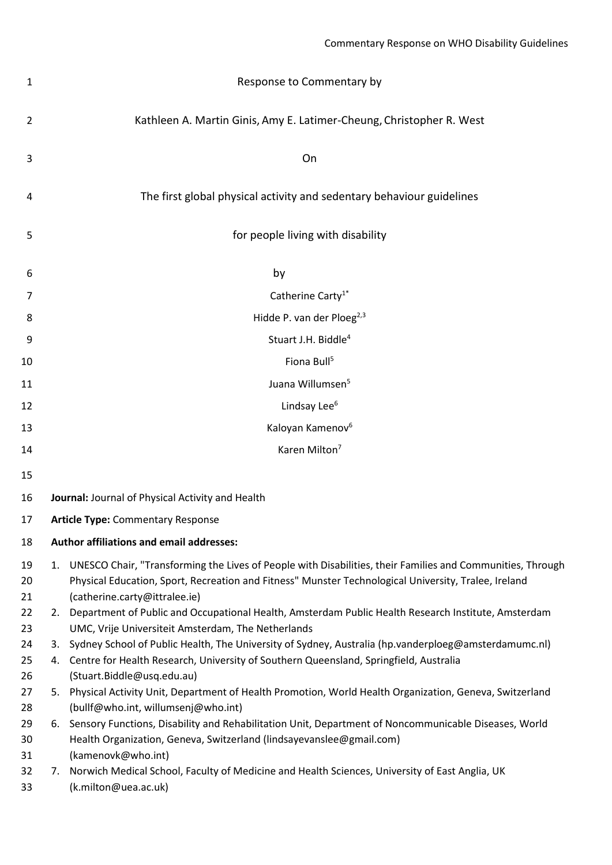| 1              | Response to Commentary by                                                                                                                                                                                                                              |
|----------------|--------------------------------------------------------------------------------------------------------------------------------------------------------------------------------------------------------------------------------------------------------|
| 2              | Kathleen A. Martin Ginis, Amy E. Latimer-Cheung, Christopher R. West                                                                                                                                                                                   |
| 3              | On                                                                                                                                                                                                                                                     |
| 4              | The first global physical activity and sedentary behaviour guidelines                                                                                                                                                                                  |
| 5              | for people living with disability                                                                                                                                                                                                                      |
| 6              | by                                                                                                                                                                                                                                                     |
| 7              | Catherine Carty <sup>1*</sup>                                                                                                                                                                                                                          |
| 8              | Hidde P. van der Ploeg <sup>2,3</sup>                                                                                                                                                                                                                  |
| 9              | Stuart J.H. Biddle <sup>4</sup>                                                                                                                                                                                                                        |
| 10             | Fiona Bull <sup>5</sup>                                                                                                                                                                                                                                |
| 11             | Juana Willumsen <sup>5</sup>                                                                                                                                                                                                                           |
| 12             | Lindsay Lee <sup>6</sup>                                                                                                                                                                                                                               |
| 13             | Kaloyan Kamenov <sup>6</sup>                                                                                                                                                                                                                           |
| 14             | Karen Milton <sup>7</sup>                                                                                                                                                                                                                              |
| 15             |                                                                                                                                                                                                                                                        |
| 16             | Journal: Journal of Physical Activity and Health                                                                                                                                                                                                       |
| 17             | <b>Article Type: Commentary Response</b>                                                                                                                                                                                                               |
| 18             | Author affiliations and email addresses:                                                                                                                                                                                                               |
| 19<br>20<br>21 | 1. UNESCO Chair, "Transforming the Lives of People with Disabilities, their Families and Communities, Through<br>Physical Education, Sport, Recreation and Fitness" Munster Technological University, Tralee, Ireland<br>(catherine.carty@ittralee.ie) |
| 22<br>23       | 2. Department of Public and Occupational Health, Amsterdam Public Health Research Institute, Amsterdam<br>UMC, Vrije Universiteit Amsterdam, The Netherlands                                                                                           |
| 24             | 3. Sydney School of Public Health, The University of Sydney, Australia (hp.vanderploeg@amsterdamumc.nl)                                                                                                                                                |
| 25             | 4. Centre for Health Research, University of Southern Queensland, Springfield, Australia                                                                                                                                                               |
| 26<br>27       | (Stuart.Biddle@usq.edu.au)<br>5. Physical Activity Unit, Department of Health Promotion, World Health Organization, Geneva, Switzerland                                                                                                                |
| 28             | (bullf@who.int, willumsenj@who.int)                                                                                                                                                                                                                    |
| 29<br>30       | 6. Sensory Functions, Disability and Rehabilitation Unit, Department of Noncommunicable Diseases, World<br>Health Organization, Geneva, Switzerland (lindsayevanslee@gmail.com)                                                                        |
| 31             | (kamenovk@who.int)                                                                                                                                                                                                                                     |
| 32<br>33       | 7. Norwich Medical School, Faculty of Medicine and Health Sciences, University of East Anglia, UK<br>(k.milton@uea.ac.uk)                                                                                                                              |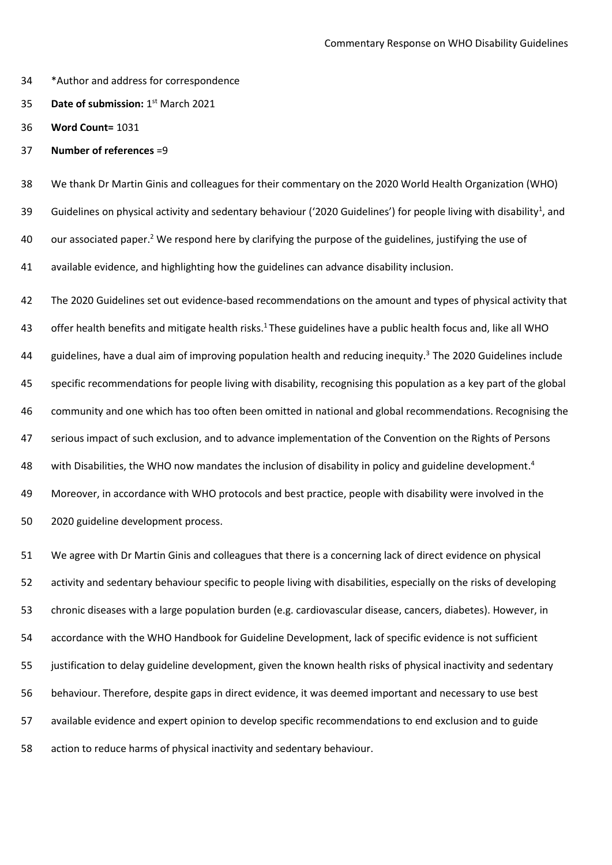- \*Author and address for correspondence
- **Date of submission:** 1<sup>st</sup> March 2021
- **Word Count=** 1031
- **Number of references** =9

 We thank Dr Martin Ginis and colleagues for their commentary on the 2020 World Health Organization (WHO) 39 Guidelines on physical activity and sedentary behaviour ('2020 Guidelines') for people living with disability<sup>1</sup>, and 40 our associated paper.<sup>2</sup> We respond here by clarifying the purpose of the guidelines, justifying the use of available evidence, and highlighting how the guidelines can advance disability inclusion.

 The 2020 Guidelines set out evidence-based recommendations on the amount and types of physical activity that 43 offer health benefits and mitigate health risks.<sup>1</sup> These guidelines have a public health focus and, like all WHO 44 guidelines, have a dual aim of improving population health and reducing inequity.<sup>3</sup> The 2020 Guidelines include specific recommendations for people living with disability, recognising this population as a key part of the global community and one which has too often been omitted in national and global recommendations. Recognising the serious impact of such exclusion, and to advance implementation of the Convention on the Rights of Persons 48 with Disabilities, the WHO now mandates the inclusion of disability in policy and guideline development.<sup>4</sup> Moreover, in accordance with WHO protocols and best practice, people with disability were involved in the 2020 guideline development process.

 We agree with Dr Martin Ginis and colleagues that there is a concerning lack of direct evidence on physical activity and sedentary behaviour specific to people living with disabilities, especially on the risks of developing chronic diseases with a large population burden (e.g. cardiovascular disease, cancers, diabetes). However, in accordance with the WHO Handbook for Guideline Development, lack of specific evidence is not sufficient justification to delay guideline development, given the known health risks of physical inactivity and sedentary behaviour. Therefore, despite gaps in direct evidence, it was deemed important and necessary to use best available evidence and expert opinion to develop specific recommendations to end exclusion and to guide action to reduce harms of physical inactivity and sedentary behaviour.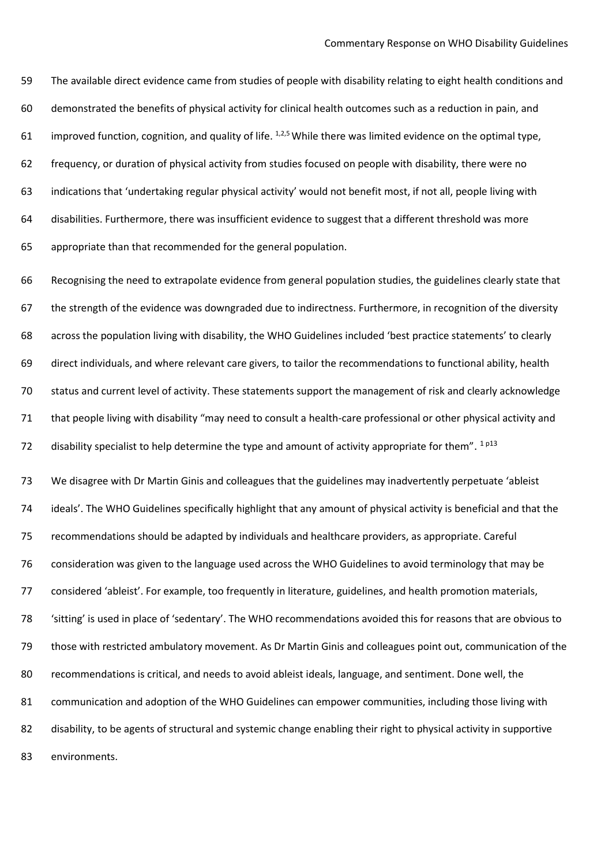The available direct evidence came from studies of people with disability relating to eight health conditions and demonstrated the benefits of physical activity for clinical health outcomes such as a reduction in pain, and 61 improved function, cognition, and quality of life.  $1,2,5$  While there was limited evidence on the optimal type, frequency, or duration of physical activity from studies focused on people with disability, there were no indications that 'undertaking regular physical activity' would not benefit most, if not all, people living with disabilities. Furthermore, there was insufficient evidence to suggest that a different threshold was more appropriate than that recommended for the general population.

 Recognising the need to extrapolate evidence from general population studies, the guidelines clearly state that the strength of the evidence was downgraded due to indirectness. Furthermore, in recognition of the diversity across the population living with disability, the WHO Guidelines included 'best practice statements' to clearly direct individuals, and where relevant care givers, to tailor the recommendations to functional ability, health status and current level of activity. These statements support the management of risk and clearly acknowledge that people living with disability "may need to consult a health-care professional or other physical activity and 72 disability specialist to help determine the type and amount of activity appropriate for them".  $^{1}$   $^{p13}$ 

 We disagree with Dr Martin Ginis and colleagues that the guidelines may inadvertently perpetuate 'ableist ideals'. The WHO Guidelines specifically highlight that any amount of physical activity is beneficial and that the recommendations should be adapted by individuals and healthcare providers, as appropriate. Careful consideration was given to the language used across the WHO Guidelines to avoid terminology that may be considered 'ableist'. For example, too frequently in literature, guidelines, and health promotion materials, 'sitting' is used in place of 'sedentary'. The WHO recommendations avoided this for reasons that are obvious to those with restricted ambulatory movement. As Dr Martin Ginis and colleagues point out, communication of the recommendations is critical, and needs to avoid ableist ideals, language, and sentiment. Done well, the communication and adoption of the WHO Guidelines can empower communities, including those living with 82 disability, to be agents of structural and systemic change enabling their right to physical activity in supportive environments.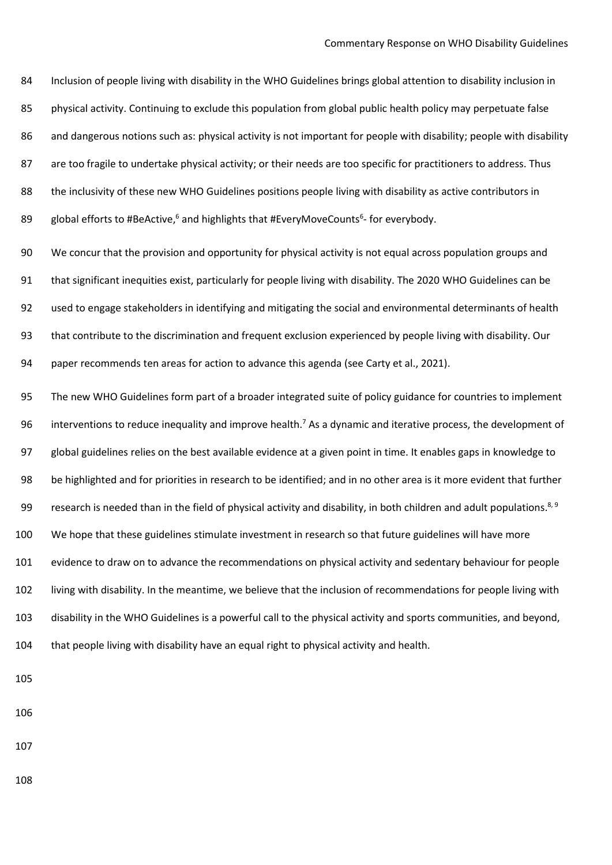Inclusion of people living with disability in the WHO Guidelines brings global attention to disability inclusion in physical activity. Continuing to exclude this population from global public health policy may perpetuate false 86 and dangerous notions such as: physical activity is not important for people with disability; people with disability 87 are too fragile to undertake physical activity; or their needs are too specific for practitioners to address. Thus 88 the inclusivity of these new WHO Guidelines positions people living with disability as active contributors in 89 global efforts to #BeActive,<sup>6</sup> and highlights that #EveryMoveCounts<sup>6</sup>- for everybody.

 We concur that the provision and opportunity for physical activity is not equal across population groups and that significant inequities exist, particularly for people living with disability. The 2020 WHO Guidelines can be used to engage stakeholders in identifying and mitigating the social and environmental determinants of health that contribute to the discrimination and frequent exclusion experienced by people living with disability. Our paper recommends ten areas for action to advance this agenda (see Carty et al., 2021).

 The new WHO Guidelines form part of a broader integrated suite of policy guidance for countries to implement 96 interventions to reduce inequality and improve health.<sup>7</sup> As a dynamic and iterative process, the development of global guidelines relies on the best available evidence at a given point in time. It enables gaps in knowledge to be highlighted and for priorities in research to be identified; and in no other area is it more evident that further 99 research is needed than in the field of physical activity and disability, in both children and adult populations.<sup>8, 9</sup> We hope that these guidelines stimulate investment in research so that future guidelines will have more evidence to draw on to advance the recommendations on physical activity and sedentary behaviour for people living with disability. In the meantime, we believe that the inclusion of recommendations for people living with disability in the WHO Guidelines is a powerful call to the physical activity and sports communities, and beyond, that people living with disability have an equal right to physical activity and health.

- 
- 
-